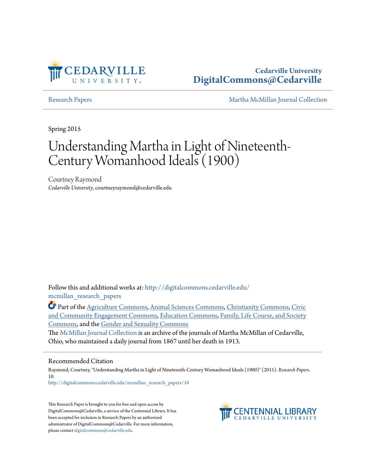

## **Cedarville University [DigitalCommons@Cedarville](http://digitalcommons.cedarville.edu?utm_source=digitalcommons.cedarville.edu%2Fmcmillan_research_papers%2F10&utm_medium=PDF&utm_campaign=PDFCoverPages)**

[Research Papers](http://digitalcommons.cedarville.edu/mcmillan_research_papers?utm_source=digitalcommons.cedarville.edu%2Fmcmillan_research_papers%2F10&utm_medium=PDF&utm_campaign=PDFCoverPages) [Martha McMillan Journal Collection](http://digitalcommons.cedarville.edu/mcmillan_journal_collection?utm_source=digitalcommons.cedarville.edu%2Fmcmillan_research_papers%2F10&utm_medium=PDF&utm_campaign=PDFCoverPages)

Spring 2015

# Understanding Martha in Light of Nineteenth-Century Womanhood Ideals (1900)

Courtney Raymond *Cedarville University*, courtneyraymond@cedarville.edu

Follow this and additional works at: [http://digitalcommons.cedarville.edu/](http://digitalcommons.cedarville.edu/mcmillan_research_papers?utm_source=digitalcommons.cedarville.edu%2Fmcmillan_research_papers%2F10&utm_medium=PDF&utm_campaign=PDFCoverPages) [mcmillan\\_research\\_papers](http://digitalcommons.cedarville.edu/mcmillan_research_papers?utm_source=digitalcommons.cedarville.edu%2Fmcmillan_research_papers%2F10&utm_medium=PDF&utm_campaign=PDFCoverPages)

Part of the [Agriculture Commons](http://network.bepress.com/hgg/discipline/1076?utm_source=digitalcommons.cedarville.edu%2Fmcmillan_research_papers%2F10&utm_medium=PDF&utm_campaign=PDFCoverPages), [Animal Sciences Commons,](http://network.bepress.com/hgg/discipline/76?utm_source=digitalcommons.cedarville.edu%2Fmcmillan_research_papers%2F10&utm_medium=PDF&utm_campaign=PDFCoverPages) [Christianity Commons](http://network.bepress.com/hgg/discipline/1181?utm_source=digitalcommons.cedarville.edu%2Fmcmillan_research_papers%2F10&utm_medium=PDF&utm_campaign=PDFCoverPages), [Civic](http://network.bepress.com/hgg/discipline/1028?utm_source=digitalcommons.cedarville.edu%2Fmcmillan_research_papers%2F10&utm_medium=PDF&utm_campaign=PDFCoverPages) [and Community Engagement Commons,](http://network.bepress.com/hgg/discipline/1028?utm_source=digitalcommons.cedarville.edu%2Fmcmillan_research_papers%2F10&utm_medium=PDF&utm_campaign=PDFCoverPages) [Education Commons,](http://network.bepress.com/hgg/discipline/784?utm_source=digitalcommons.cedarville.edu%2Fmcmillan_research_papers%2F10&utm_medium=PDF&utm_campaign=PDFCoverPages) [Family, Life Course, and Society](http://network.bepress.com/hgg/discipline/419?utm_source=digitalcommons.cedarville.edu%2Fmcmillan_research_papers%2F10&utm_medium=PDF&utm_campaign=PDFCoverPages) [Commons,](http://network.bepress.com/hgg/discipline/419?utm_source=digitalcommons.cedarville.edu%2Fmcmillan_research_papers%2F10&utm_medium=PDF&utm_campaign=PDFCoverPages) and the [Gender and Sexuality Commons](http://network.bepress.com/hgg/discipline/420?utm_source=digitalcommons.cedarville.edu%2Fmcmillan_research_papers%2F10&utm_medium=PDF&utm_campaign=PDFCoverPages)

The [McMillan Journal Collection](http://digitalcommons.cedarville.edu/mcmillan_journal_collection/) is an archive of the journals of Martha McMillan of Cedarville, Ohio, who maintained a daily journal from 1867 until her death in 1913.

#### Recommended Citation

Raymond, Courtney, "Understanding Martha in Light of Nineteenth-Century Womanhood Ideals (1900)" (2015). *Research Papers*. 10.

[http://digitalcommons.cedarville.edu/mcmillan\\_research\\_papers/10](http://digitalcommons.cedarville.edu/mcmillan_research_papers/10?utm_source=digitalcommons.cedarville.edu%2Fmcmillan_research_papers%2F10&utm_medium=PDF&utm_campaign=PDFCoverPages)

This Research Paper is brought to you for free and open access by DigitalCommons@Cedarville, a service of the Centennial Library. It has been accepted for inclusion in Research Papers by an authorized administrator of DigitalCommons@Cedarville. For more information, please contact [digitalcommons@cedarville.edu.](mailto:digitalcommons@cedarville.edu)

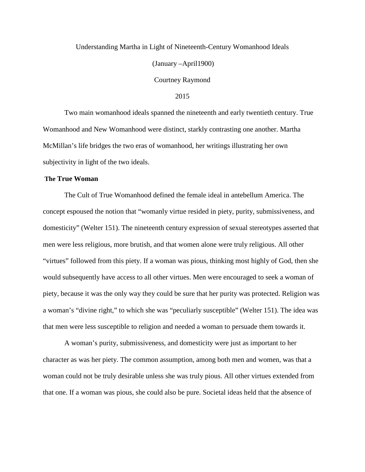#### Understanding Martha in Light of Nineteenth-Century Womanhood Ideals

(January –April1900)

Courtney Raymond

2015

Two main womanhood ideals spanned the nineteenth and early twentieth century. True Womanhood and New Womanhood were distinct, starkly contrasting one another. Martha McMillan's life bridges the two eras of womanhood, her writings illustrating her own subjectivity in light of the two ideals.

#### **The True Woman**

The Cult of True Womanhood defined the female ideal in antebellum America. The concept espoused the notion that "womanly virtue resided in piety, purity, submissiveness, and domesticity" (Welter 151). The nineteenth century expression of sexual stereotypes asserted that men were less religious, more brutish, and that women alone were truly religious. All other "virtues" followed from this piety. If a woman was pious, thinking most highly of God, then she would subsequently have access to all other virtues. Men were encouraged to seek a woman of piety, because it was the only way they could be sure that her purity was protected. Religion was a woman's "divine right," to which she was "peculiarly susceptible" (Welter 151). The idea was that men were less susceptible to religion and needed a woman to persuade them towards it.

A woman's purity, submissiveness, and domesticity were just as important to her character as was her piety. The common assumption, among both men and women, was that a woman could not be truly desirable unless she was truly pious. All other virtues extended from that one. If a woman was pious, she could also be pure. Societal ideas held that the absence of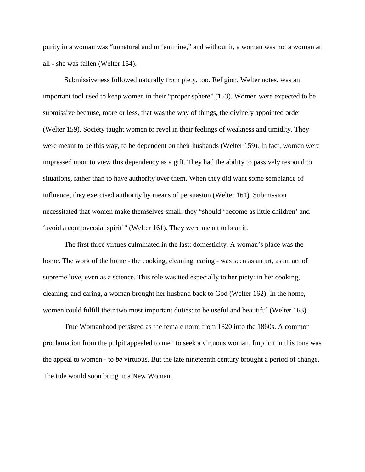purity in a woman was "unnatural and unfeminine," and without it, a woman was not a woman at all - she was fallen (Welter 154).

Submissiveness followed naturally from piety, too. Religion, Welter notes, was an important tool used to keep women in their "proper sphere" (153). Women were expected to be submissive because, more or less, that was the way of things, the divinely appointed order (Welter 159). Society taught women to revel in their feelings of weakness and timidity. They were meant to be this way, to be dependent on their husbands (Welter 159). In fact, women were impressed upon to view this dependency as a gift. They had the ability to passively respond to situations, rather than to have authority over them. When they did want some semblance of influence, they exercised authority by means of persuasion (Welter 161). Submission necessitated that women make themselves small: they "should 'become as little children' and 'avoid a controversial spirit'" (Welter 161). They were meant to bear it.

The first three virtues culminated in the last: domesticity. A woman's place was the home. The work of the home - the cooking, cleaning, caring - was seen as an art, as an act of supreme love, even as a science. This role was tied especially to her piety: in her cooking, cleaning, and caring, a woman brought her husband back to God (Welter 162). In the home, women could fulfill their two most important duties: to be useful and beautiful (Welter 163).

True Womanhood persisted as the female norm from 1820 into the 1860s. A common proclamation from the pulpit appealed to men to seek a virtuous woman. Implicit in this tone was the appeal to women - to *be* virtuous. But the late nineteenth century brought a period of change. The tide would soon bring in a New Woman.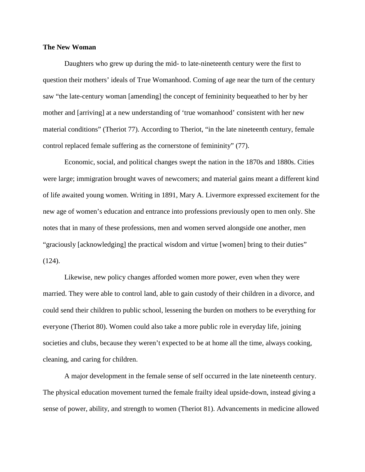#### **The New Woman**

Daughters who grew up during the mid- to late-nineteenth century were the first to question their mothers' ideals of True Womanhood. Coming of age near the turn of the century saw "the late-century woman [amending] the concept of femininity bequeathed to her by her mother and [arriving] at a new understanding of 'true womanhood' consistent with her new material conditions" (Theriot 77). According to Theriot, "in the late nineteenth century, female control replaced female suffering as the cornerstone of femininity" (77).

Economic, social, and political changes swept the nation in the 1870s and 1880s. Cities were large; immigration brought waves of newcomers; and material gains meant a different kind of life awaited young women. Writing in 1891, Mary A. Livermore expressed excitement for the new age of women's education and entrance into professions previously open to men only. She notes that in many of these professions, men and women served alongside one another, men "graciously [acknowledging] the practical wisdom and virtue [women] bring to their duties" (124).

Likewise, new policy changes afforded women more power, even when they were married. They were able to control land, able to gain custody of their children in a divorce, and could send their children to public school, lessening the burden on mothers to be everything for everyone (Theriot 80). Women could also take a more public role in everyday life, joining societies and clubs, because they weren't expected to be at home all the time, always cooking, cleaning, and caring for children.

A major development in the female sense of self occurred in the late nineteenth century. The physical education movement turned the female frailty ideal upside-down, instead giving a sense of power, ability, and strength to women (Theriot 81). Advancements in medicine allowed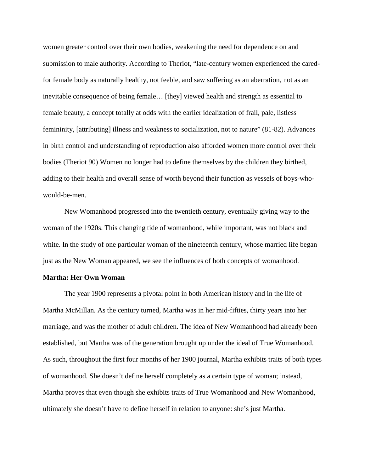women greater control over their own bodies, weakening the need for dependence on and submission to male authority. According to Theriot, "late-century women experienced the caredfor female body as naturally healthy, not feeble, and saw suffering as an aberration, not as an inevitable consequence of being female… [they] viewed health and strength as essential to female beauty, a concept totally at odds with the earlier idealization of frail, pale, listless femininity, [attributing] illness and weakness to socialization, not to nature" (81-82). Advances in birth control and understanding of reproduction also afforded women more control over their bodies (Theriot 90) Women no longer had to define themselves by the children they birthed, adding to their health and overall sense of worth beyond their function as vessels of boys-whowould-be-men.

New Womanhood progressed into the twentieth century, eventually giving way to the woman of the 1920s. This changing tide of womanhood, while important, was not black and white. In the study of one particular woman of the nineteenth century, whose married life began just as the New Woman appeared, we see the influences of both concepts of womanhood.

#### **Martha: Her Own Woman**

The year 1900 represents a pivotal point in both American history and in the life of Martha McMillan. As the century turned, Martha was in her mid-fifties, thirty years into her marriage, and was the mother of adult children. The idea of New Womanhood had already been established, but Martha was of the generation brought up under the ideal of True Womanhood. As such, throughout the first four months of her 1900 journal, Martha exhibits traits of both types of womanhood. She doesn't define herself completely as a certain type of woman; instead, Martha proves that even though she exhibits traits of True Womanhood and New Womanhood, ultimately she doesn't have to define herself in relation to anyone: she's just Martha.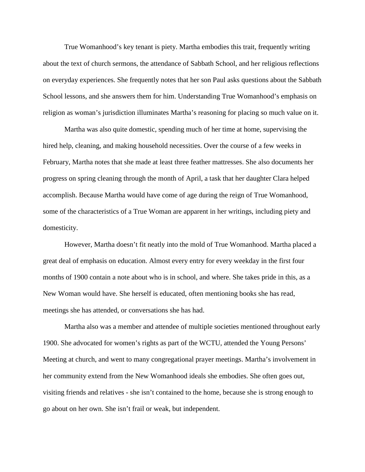True Womanhood's key tenant is piety. Martha embodies this trait, frequently writing about the text of church sermons, the attendance of Sabbath School, and her religious reflections on everyday experiences. She frequently notes that her son Paul asks questions about the Sabbath School lessons, and she answers them for him. Understanding True Womanhood's emphasis on religion as woman's jurisdiction illuminates Martha's reasoning for placing so much value on it.

Martha was also quite domestic, spending much of her time at home, supervising the hired help, cleaning, and making household necessities. Over the course of a few weeks in February, Martha notes that she made at least three feather mattresses. She also documents her progress on spring cleaning through the month of April, a task that her daughter Clara helped accomplish. Because Martha would have come of age during the reign of True Womanhood, some of the characteristics of a True Woman are apparent in her writings, including piety and domesticity.

However, Martha doesn't fit neatly into the mold of True Womanhood. Martha placed a great deal of emphasis on education. Almost every entry for every weekday in the first four months of 1900 contain a note about who is in school, and where. She takes pride in this, as a New Woman would have. She herself is educated, often mentioning books she has read, meetings she has attended, or conversations she has had.

Martha also was a member and attendee of multiple societies mentioned throughout early 1900. She advocated for women's rights as part of the WCTU, attended the Young Persons' Meeting at church, and went to many congregational prayer meetings. Martha's involvement in her community extend from the New Womanhood ideals she embodies. She often goes out, visiting friends and relatives - she isn't contained to the home, because she is strong enough to go about on her own. She isn't frail or weak, but independent.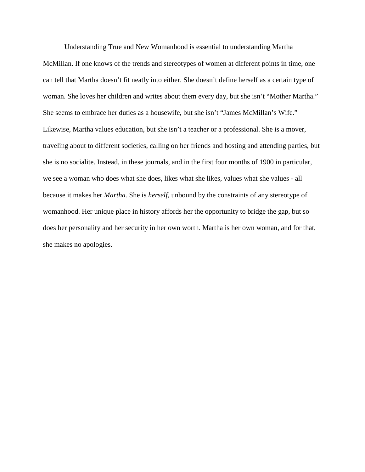Understanding True and New Womanhood is essential to understanding Martha McMillan. If one knows of the trends and stereotypes of women at different points in time, one can tell that Martha doesn't fit neatly into either. She doesn't define herself as a certain type of woman. She loves her children and writes about them every day, but she isn't "Mother Martha." She seems to embrace her duties as a housewife, but she isn't "James McMillan's Wife." Likewise, Martha values education, but she isn't a teacher or a professional. She is a mover, traveling about to different societies, calling on her friends and hosting and attending parties, but she is no socialite. Instead, in these journals, and in the first four months of 1900 in particular, we see a woman who does what she does, likes what she likes, values what she values - all because it makes her *Martha.* She is *herself*, unbound by the constraints of any stereotype of womanhood. Her unique place in history affords her the opportunity to bridge the gap, but so does her personality and her security in her own worth. Martha is her own woman, and for that, she makes no apologies.